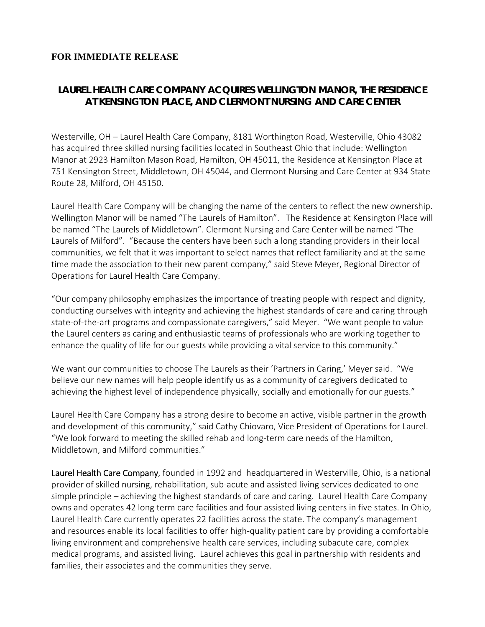## **FOR IMMEDIATE RELEASE**

## *LAUREL HEALTH CARE COMPANY ACQUIRES WELLINGTON MANOR, THE RESIDENCE AT KENSINGTON PLACE, AND CLERMONT NURSING AND CARE CENTER*

Westerville, OH – Laurel Health Care Company, 8181 Worthington Road, Westerville, Ohio 43082 has acquired three skilled nursing facilities located in Southeast Ohio that include: Wellington Manor at 2923 Hamilton Mason Road, Hamilton, OH 45011, the Residence at Kensington Place at 751 Kensington Street, Middletown, OH 45044, and Clermont Nursing and Care Center at 934 State Route 28, Milford, OH 45150.

Laurel Health Care Company will be changing the name of the centers to reflect the new ownership. Wellington Manor will be named "The Laurels of Hamilton". The Residence at Kensington Place will be named "The Laurels of Middletown". Clermont Nursing and Care Center will be named "The Laurels of Milford". "Because the centers have been such a long standing providers in their local communities, we felt that it was important to select names that reflect familiarity and at the same time made the association to their new parent company," said Steve Meyer, Regional Director of Operations for Laurel Health Care Company.

"Our company philosophy emphasizes the importance of treating people with respect and dignity, conducting ourselves with integrity and achieving the highest standards of care and caring through state-of-the-art programs and compassionate caregivers," said Meyer. "We want people to value the Laurel centers as caring and enthusiastic teams of professionals who are working together to enhance the quality of life for our guests while providing a vital service to this community."

We want our communities to choose The Laurels as their 'Partners in Caring,' Meyer said. "We believe our new names will help people identify us as a community of caregivers dedicated to achieving the highest level of independence physically, socially and emotionally for our guests."

Laurel Health Care Company has a strong desire to become an active, visible partner in the growth and development of this community," said Cathy Chiovaro, Vice President of Operations for Laurel. "We look forward to meeting the skilled rehab and long‐term care needs of the Hamilton, Middletown, and Milford communities."

Laurel Health Care Company, founded in 1992 and headquartered in Westerville, Ohio, is a national provider of skilled nursing, rehabilitation, sub‐acute and assisted living services dedicated to one simple principle – achieving the highest standards of care and caring. Laurel Health Care Company owns and operates 42 long term care facilities and four assisted living centers in five states. In Ohio, Laurel Health Care currently operates 22 facilities across the state. The company's management and resources enable its local facilities to offer high‐quality patient care by providing a comfortable living environment and comprehensive health care services, including subacute care, complex medical programs, and assisted living. Laurel achieves this goal in partnership with residents and families, their associates and the communities they serve.